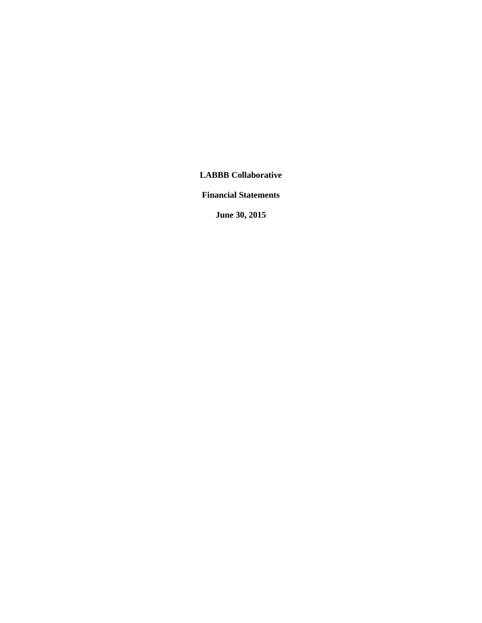**LABBB Collaborative**

**Financial Statements**

**June 30, 2015**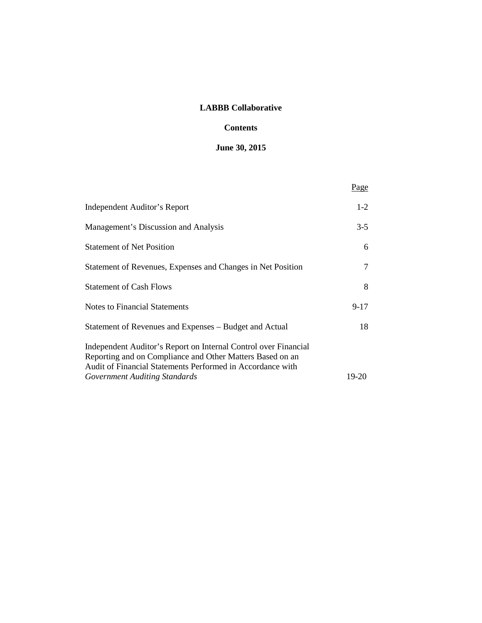## **LABBB Collaborative**

### **Contents**

# **June 30, 2015**

|                                                                                                                                                                                                                                    | Page     |
|------------------------------------------------------------------------------------------------------------------------------------------------------------------------------------------------------------------------------------|----------|
| Independent Auditor's Report                                                                                                                                                                                                       | $1 - 2$  |
| Management's Discussion and Analysis                                                                                                                                                                                               | $3-5$    |
| <b>Statement of Net Position</b>                                                                                                                                                                                                   | 6        |
| Statement of Revenues, Expenses and Changes in Net Position                                                                                                                                                                        | 7        |
| <b>Statement of Cash Flows</b>                                                                                                                                                                                                     | 8        |
| Notes to Financial Statements                                                                                                                                                                                                      | $9 - 17$ |
| Statement of Revenues and Expenses – Budget and Actual                                                                                                                                                                             | 18       |
| Independent Auditor's Report on Internal Control over Financial<br>Reporting and on Compliance and Other Matters Based on an<br>Audit of Financial Statements Performed in Accordance with<br><b>Government Auditing Standards</b> | 19-20    |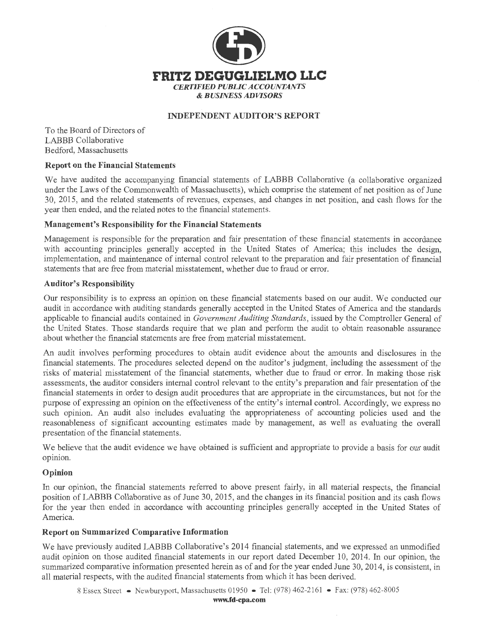

## **INDEPENDENT AUDITOR'S REPORT**

To the Board of Directors of LABBB Collaborative Bedford, Massachusetts

### **Report on the Financial Statements**

We have audited the accompanying financial statements of LABBB Collaborative (a collaborative organized under the Laws of the Commonwealth of Massachusetts), which comprise the statement of net position as of June 30, 2015, and the related statements of revenues, expenses, and changes in net position, and cash flows for the year then ended, and the related notes to the financial statements.

### **Management's Responsibility for the Financial Statements**

Management is responsible for the preparation and fair presentation of these financial statements in accordance with accounting principles generally accepted in the United States of America; this includes the design, implementation, and maintenance of internal control relevant to the preparation and fair presentation of financial statements that are free from material misstatement, whether due to fraud or error.

### **Auditor's Responsibility**

Our responsibility is to express an opinion on these financial statements based on our audit. We conducted our audit in accordance with auditing standards generally accepted in the United States of America and the standards applicable to financial audits contained in *Government Auditing Standards,* issued by the Comptroller General of the United States. Those standards require that we plan and perform the audit to obtain reasonable assurance about whether the financial statements are free from material misstatement.

An audit involves performing procedures to obtain audit evidence about the amounts and disclosures in the financial statements. The procedures selected depend on the auditor's judgment, including the assessment of the risks of material misstatement of the financial statements, whether due to fraud or error. In making those risk assessments, the auditor considers internal control relevant to the entity's preparation and fair presentation of the financial statements in order to design audit procedures that are appropriate in the circumstances, but not for the purpose of expressing an opinion on the effectiveness of the entity's internal control. Accordingly, we express no such opinion. An audit also includes evaluating the appropriateness of accounting policies used and the reasonableness of significant accounting estimates made by management, as well as evaluating the overall presentation of the financial statements.

We believe that the audit evidence we have obtained is sufficient and appropriate to provide a basis for our audit opinion.

## **Opinion**

In our opinion, the financial statements referred to above present fairly, in all material respects, the financial position of LAB BB Collaborative as of June 30, 2015, and the changes in its financial position and its cash flows for the year then ended in accordance with accounting principles generally accepted in the United States of America.

## **Report on Summarized Comparative Information**

We have previously audited LABBB Collaborative's 2014 financial statements, and we expressed an unmodified audit opinion on those audited financial statements in our report dated December 10, 2014. In our opinion, the summarized comparative information presented herein as of and for the year ended June 30, 2014, is consistent, in all material respects, with the audited financial statements from which it has been derived.

8 Essex Street • Newburyport, Massachusetts 01950 • Tel: (978) 462-2161 • Fax: (978) 462-8005 **www.fd-cpa.com**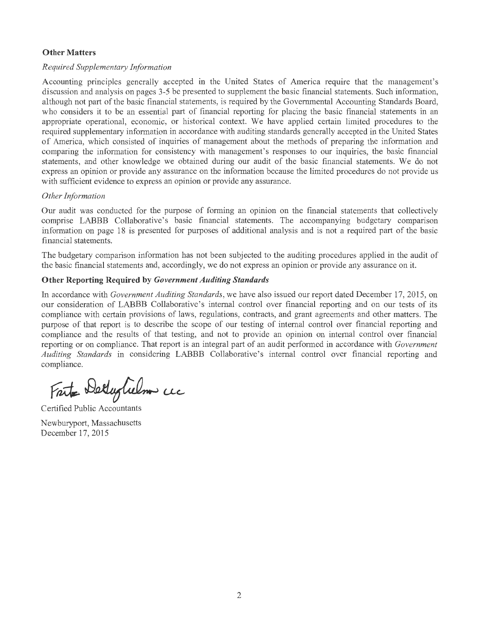## **Other Matters**

#### *Required Supplementary Information*

Accounting principles generally accepted in the United States of America require that the management's discussion and analysis on pages 3-5 be presented to supplement the basic financial statements. Such information, although not part of the basic financial statements, is required by the Governmental Accounting Standards Board, who considers it to be an essential part of financial reporting for placing the basic financial statements in an appropriate operational, economic, or historical context. We have applied certain limited procedures to the required supplementary information in accordance with auditing standards generally accepted in the United States of America, which consisted of inquiries of management about the methods of preparing the information and comparing the information for consistency with management's responses to our inquiries, the basic financial statements, and other knowledge we obtained during our audit of the basic financial statements. We do not express an opinion or provide any assurance on the information because the limited procedures do not provide us with sufficient evidence to express an opinion or provide any assurance.

### *Other Information*

Our audit was conducted for the purpose of forming an opinion on the financial statements that collectively comprise LABBB Collaborative's basic financial statements. The accompanying budgetary comparison information on page 18 is presented for purposes of additional analysis and is not a required part of the basic financial statements.

The budgetary comparison information has not been subjected to the auditing procedures applied in the audit of the basic financial statements and, accordingly, we do not express an opinion or provide any assurance on it.

### **Other Reporting Required by** *Government Auditing Standards*

In accordance with *Government Auditing Standards,* we have also issued our report dated December 17, 2015, on our consideration of LABBB Collaborative's internal control over financial reporting and on our tests of its compliance with certain provisions of laws, regulations, contracts, and grant agreements and other matters. The purpose of that report is to describe the scope of our testing of internal control over financial reporting and compliance and the results of that testing, and not to provide an opinion on internal control over financial reporting or on compliance. That report is an integral part of an audit performed in accordance with *Government Auditing Standards* in considering LABBB Collaborative's internal control over financial reporting and compliance.

Fait Detalustielm uc

Certified Public Accountants

Newburyport, Massachusetts December 17, 2015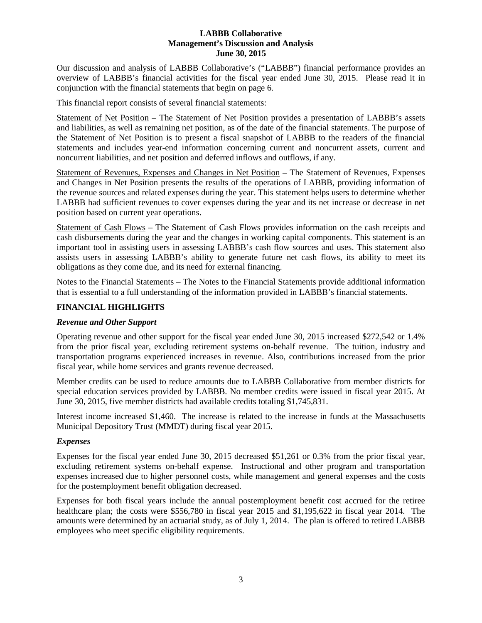### **LABBB Collaborative Management's Discussion and Analysis June 30, 2015**

Our discussion and analysis of LABBB Collaborative's ("LABBB") financial performance provides an overview of LABBB's financial activities for the fiscal year ended June 30, 2015. Please read it in conjunction with the financial statements that begin on page 6.

This financial report consists of several financial statements:

Statement of Net Position – The Statement of Net Position provides a presentation of LABBB's assets and liabilities, as well as remaining net position, as of the date of the financial statements. The purpose of the Statement of Net Position is to present a fiscal snapshot of LABBB to the readers of the financial statements and includes year-end information concerning current and noncurrent assets, current and noncurrent liabilities, and net position and deferred inflows and outflows, if any.

Statement of Revenues, Expenses and Changes in Net Position – The Statement of Revenues, Expenses and Changes in Net Position presents the results of the operations of LABBB, providing information of the revenue sources and related expenses during the year. This statement helps users to determine whether LABBB had sufficient revenues to cover expenses during the year and its net increase or decrease in net position based on current year operations.

Statement of Cash Flows – The Statement of Cash Flows provides information on the cash receipts and cash disbursements during the year and the changes in working capital components. This statement is an important tool in assisting users in assessing LABBB's cash flow sources and uses. This statement also assists users in assessing LABBB's ability to generate future net cash flows, its ability to meet its obligations as they come due, and its need for external financing.

Notes to the Financial Statements – The Notes to the Financial Statements provide additional information that is essential to a full understanding of the information provided in LABBB's financial statements.

## **FINANCIAL HIGHLIGHTS**

## *Revenue and Other Support*

Operating revenue and other support for the fiscal year ended June 30, 2015 increased \$272,542 or 1.4% from the prior fiscal year, excluding retirement systems on-behalf revenue. The tuition, industry and transportation programs experienced increases in revenue. Also, contributions increased from the prior fiscal year, while home services and grants revenue decreased.

Member credits can be used to reduce amounts due to LABBB Collaborative from member districts for special education services provided by LABBB. No member credits were issued in fiscal year 2015. At June 30, 2015, five member districts had available credits totaling \$1,745,831.

Interest income increased \$1,460. The increase is related to the increase in funds at the Massachusetts Municipal Depository Trust (MMDT) during fiscal year 2015.

## *Expenses*

Expenses for the fiscal year ended June 30, 2015 decreased \$51,261 or 0.3% from the prior fiscal year, excluding retirement systems on-behalf expense. Instructional and other program and transportation expenses increased due to higher personnel costs, while management and general expenses and the costs for the postemployment benefit obligation decreased.

Expenses for both fiscal years include the annual postemployment benefit cost accrued for the retiree healthcare plan; the costs were \$556,780 in fiscal year 2015 and \$1,195,622 in fiscal year 2014. The amounts were determined by an actuarial study, as of July 1, 2014. The plan is offered to retired LABBB employees who meet specific eligibility requirements.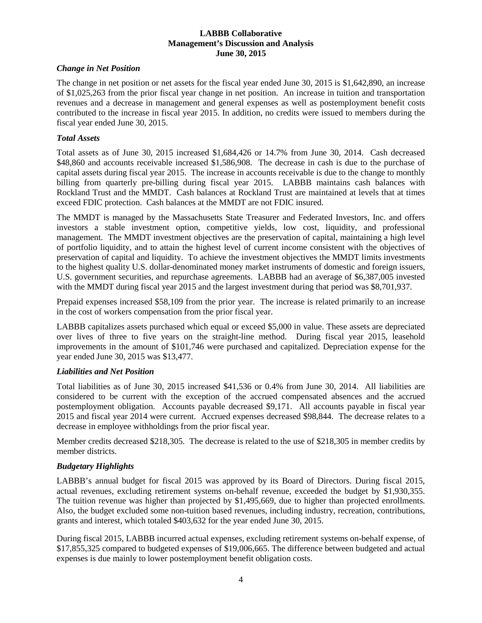## **LABBB Collaborative Management's Discussion and Analysis June 30, 2015**

### *Change in Net Position*

The change in net position or net assets for the fiscal year ended June 30, 2015 is \$1,642,890, an increase of \$1,025,263 from the prior fiscal year change in net position. An increase in tuition and transportation revenues and a decrease in management and general expenses as well as postemployment benefit costs contributed to the increase in fiscal year 2015. In addition, no credits were issued to members during the fiscal year ended June 30, 2015.

#### *Total Assets*

Total assets as of June 30, 2015 increased \$1,684,426 or 14.7% from June 30, 2014. Cash decreased \$48,860 and accounts receivable increased \$1,586,908. The decrease in cash is due to the purchase of capital assets during fiscal year 2015. The increase in accounts receivable is due to the change to monthly billing from quarterly pre-billing during fiscal year 2015. LABBB maintains cash balances with Rockland Trust and the MMDT. Cash balances at Rockland Trust are maintained at levels that at times exceed FDIC protection. Cash balances at the MMDT are not FDIC insured.

The MMDT is managed by the Massachusetts State Treasurer and Federated Investors, Inc. and offers investors a stable investment option, competitive yields, low cost, liquidity, and professional management. The MMDT investment objectives are the preservation of capital, maintaining a high level of portfolio liquidity, and to attain the highest level of current income consistent with the objectives of preservation of capital and liquidity. To achieve the investment objectives the MMDT limits investments to the highest quality U.S. dollar-denominated money market instruments of domestic and foreign issuers, U.S. government securities, and repurchase agreements. LABBB had an average of \$6,387,005 invested with the MMDT during fiscal year 2015 and the largest investment during that period was \$8,701,937.

Prepaid expenses increased \$58,109 from the prior year. The increase is related primarily to an increase in the cost of workers compensation from the prior fiscal year.

LABBB capitalizes assets purchased which equal or exceed \$5,000 in value. These assets are depreciated over lives of three to five years on the straight-line method. During fiscal year 2015, leasehold improvements in the amount of \$101,746 were purchased and capitalized. Depreciation expense for the year ended June 30, 2015 was \$13,477.

#### *Liabilities and Net Position*

Total liabilities as of June 30, 2015 increased \$41,536 or 0.4% from June 30, 2014. All liabilities are considered to be current with the exception of the accrued compensated absences and the accrued postemployment obligation. Accounts payable decreased \$9,171. All accounts payable in fiscal year 2015 and fiscal year 2014 were current. Accrued expenses decreased \$98,844. The decrease relates to a decrease in employee withholdings from the prior fiscal year.

Member credits decreased \$218,305. The decrease is related to the use of \$218,305 in member credits by member districts.

## *Budgetary Highlights*

LABBB's annual budget for fiscal 2015 was approved by its Board of Directors. During fiscal 2015, actual revenues, excluding retirement systems on-behalf revenue, exceeded the budget by \$1,930,355. The tuition revenue was higher than projected by \$1,495,669, due to higher than projected enrollments. Also, the budget excluded some non-tuition based revenues, including industry, recreation, contributions, grants and interest, which totaled \$403,632 for the year ended June 30, 2015.

During fiscal 2015, LABBB incurred actual expenses, excluding retirement systems on-behalf expense, of \$17,855,325 compared to budgeted expenses of \$19,006,665. The difference between budgeted and actual expenses is due mainly to lower postemployment benefit obligation costs.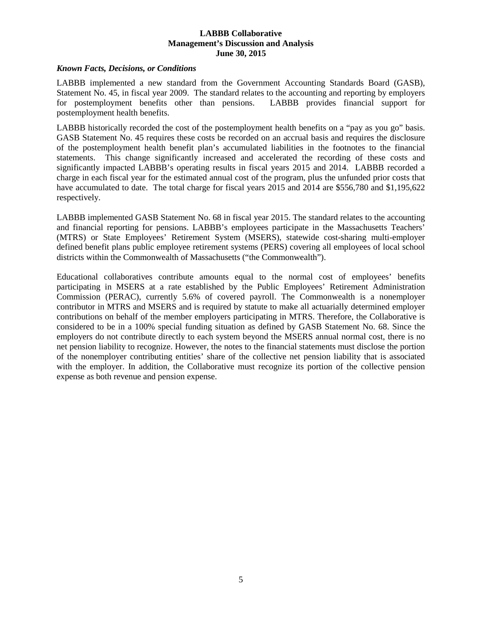### **LABBB Collaborative Management's Discussion and Analysis June 30, 2015**

#### *Known Facts, Decisions, or Conditions*

LABBB implemented a new standard from the Government Accounting Standards Board (GASB), Statement No. 45, in fiscal year 2009. The standard relates to the accounting and reporting by employers for postemployment benefits other than pensions. LABBB provides financial support for postemployment health benefits.

LABBB historically recorded the cost of the postemployment health benefits on a "pay as you go" basis. GASB Statement No. 45 requires these costs be recorded on an accrual basis and requires the disclosure of the postemployment health benefit plan's accumulated liabilities in the footnotes to the financial statements. This change significantly increased and accelerated the recording of these costs and significantly impacted LABBB's operating results in fiscal years 2015 and 2014. LABBB recorded a charge in each fiscal year for the estimated annual cost of the program, plus the unfunded prior costs that have accumulated to date. The total charge for fiscal years 2015 and 2014 are \$556,780 and \$1,195,622 respectively.

LABBB implemented GASB Statement No. 68 in fiscal year 2015. The standard relates to the accounting and financial reporting for pensions. LABBB's employees participate in the Massachusetts Teachers' (MTRS) or State Employees' Retirement System (MSERS), statewide cost-sharing multi-employer defined benefit plans public employee retirement systems (PERS) covering all employees of local school districts within the Commonwealth of Massachusetts ("the Commonwealth").

Educational collaboratives contribute amounts equal to the normal cost of employees' benefits participating in MSERS at a rate established by the Public Employees' Retirement Administration Commission (PERAC), currently 5.6% of covered payroll. The Commonwealth is a nonemployer contributor in MTRS and MSERS and is required by statute to make all actuarially determined employer contributions on behalf of the member employers participating in MTRS. Therefore, the Collaborative is considered to be in a 100% special funding situation as defined by GASB Statement No. 68. Since the employers do not contribute directly to each system beyond the MSERS annual normal cost, there is no net pension liability to recognize. However, the notes to the financial statements must disclose the portion of the nonemployer contributing entities' share of the collective net pension liability that is associated with the employer. In addition, the Collaborative must recognize its portion of the collective pension expense as both revenue and pension expense.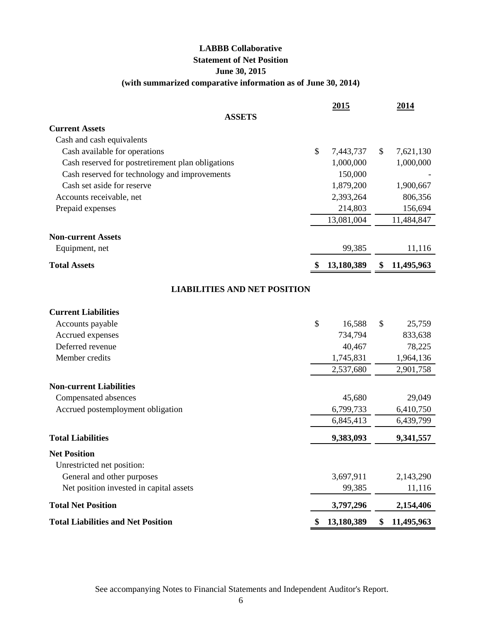# **LABBB Collaborative Statement of Net Position June 30, 2015 (with summarized comparative information as of June 30, 2014)**

|                                                   | 2015             | 2014             |
|---------------------------------------------------|------------------|------------------|
| <b>ASSETS</b>                                     |                  |                  |
| <b>Current Assets</b>                             |                  |                  |
| Cash and cash equivalents                         |                  |                  |
| Cash available for operations                     | \$<br>7,443,737  | \$<br>7,621,130  |
| Cash reserved for postretirement plan obligations | 1,000,000        | 1,000,000        |
| Cash reserved for technology and improvements     | 150,000          |                  |
| Cash set aside for reserve                        | 1,879,200        | 1,900,667        |
| Accounts receivable, net                          | 2,393,264        | 806,356          |
| Prepaid expenses                                  | 214,803          | 156,694          |
|                                                   | 13,081,004       | 11,484,847       |
| <b>Non-current Assets</b>                         |                  |                  |
| Equipment, net                                    | 99,385           | 11,116           |
|                                                   |                  |                  |
| <b>Total Assets</b>                               | \$<br>13,180,389 | \$<br>11,495,963 |
| <b>LIABILITIES AND NET POSITION</b>               |                  |                  |
| <b>Current Liabilities</b>                        |                  |                  |
| Accounts payable                                  | \$<br>16,588     | \$<br>25,759     |
| Accrued expenses                                  | 734,794          | 833,638          |
| Deferred revenue                                  | 40,467           | 78,225           |
| Member credits                                    | 1,745,831        | 1,964,136        |
|                                                   | 2,537,680        | 2,901,758        |
| <b>Non-current Liabilities</b>                    |                  |                  |
| Compensated absences                              | 45,680           | 29,049           |
| Accrued postemployment obligation                 | 6,799,733        | 6,410,750        |
|                                                   | 6,845,413        | 6,439,799        |
| <b>Total Liabilities</b>                          | 9,383,093        | 9,341,557        |
| <b>Net Position</b>                               |                  |                  |
| Unrestricted net position:                        |                  |                  |
| General and other purposes                        | 3,697,911        | 2,143,290        |
| Net position invested in capital assets           | 99,385           | 11,116           |
| <b>Total Net Position</b>                         | 3,797,296        | 2,154,406        |
| <b>Total Liabilities and Net Position</b>         | \$<br>13,180,389 | \$<br>11,495,963 |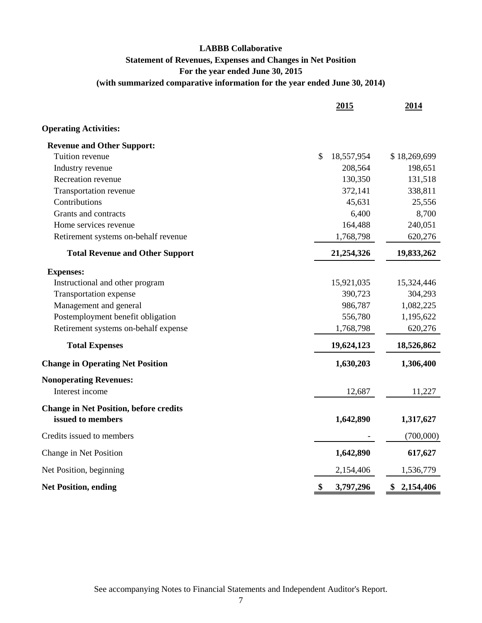# **LABBB Collaborative Statement of Revenues, Expenses and Changes in Net Position For the year ended June 30, 2015 (with summarized comparative information for the year ended June 30, 2014)**

|                                               | 2015             | 2014            |
|-----------------------------------------------|------------------|-----------------|
| <b>Operating Activities:</b>                  |                  |                 |
| <b>Revenue and Other Support:</b>             |                  |                 |
| Tuition revenue                               | \$<br>18,557,954 | \$18,269,699    |
| Industry revenue                              | 208,564          | 198,651         |
| Recreation revenue                            | 130,350          | 131,518         |
| <b>Transportation revenue</b>                 | 372,141          | 338,811         |
| Contributions                                 | 45,631           | 25,556          |
| Grants and contracts                          | 6,400            | 8,700           |
| Home services revenue                         | 164,488          | 240,051         |
| Retirement systems on-behalf revenue          | 1,768,798        | 620,276         |
| <b>Total Revenue and Other Support</b>        | 21,254,326       | 19,833,262      |
| <b>Expenses:</b>                              |                  |                 |
| Instructional and other program               | 15,921,035       | 15,324,446      |
| Transportation expense                        | 390,723          | 304,293         |
| Management and general                        | 986,787          | 1,082,225       |
| Postemployment benefit obligation             | 556,780          | 1,195,622       |
| Retirement systems on-behalf expense          | 1,768,798        | 620,276         |
| <b>Total Expenses</b>                         | 19,624,123       | 18,526,862      |
| <b>Change in Operating Net Position</b>       | 1,630,203        | 1,306,400       |
| <b>Nonoperating Revenues:</b>                 |                  |                 |
| Interest income                               | 12,687           | 11,227          |
| <b>Change in Net Position, before credits</b> |                  |                 |
| issued to members                             | 1,642,890        | 1,317,627       |
| Credits issued to members                     |                  | (700,000)       |
| Change in Net Position                        | 1,642,890        | 617,627         |
| Net Position, beginning                       | 2,154,406        | 1,536,779       |
| <b>Net Position, ending</b>                   | \$<br>3,797,296  | \$<br>2,154,406 |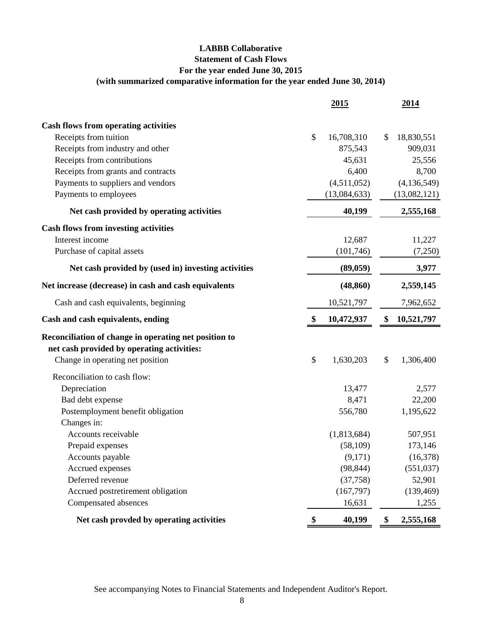# **LABBB Collaborative Statement of Cash Flows For the year ended June 30, 2015**

# **(with summarized comparative information for the year ended June 30, 2014)**

|                                                                                                     |                   | 2015         | 2014             |
|-----------------------------------------------------------------------------------------------------|-------------------|--------------|------------------|
| <b>Cash flows from operating activities</b>                                                         |                   |              |                  |
| Receipts from tuition                                                                               | \$                | 16,708,310   | \$<br>18,830,551 |
| Receipts from industry and other                                                                    |                   | 875,543      | 909,031          |
| Receipts from contributions                                                                         |                   | 45,631       | 25,556           |
| Receipts from grants and contracts                                                                  |                   | 6,400        | 8,700            |
| Payments to suppliers and vendors                                                                   |                   | (4,511,052)  | (4, 136, 549)    |
| Payments to employees                                                                               |                   | (13,084,633) | (13,082,121)     |
| Net cash provided by operating activities                                                           |                   | 40,199       | 2,555,168        |
| <b>Cash flows from investing activities</b>                                                         |                   |              |                  |
| Interest income                                                                                     |                   | 12,687       | 11,227           |
| Purchase of capital assets                                                                          |                   | (101, 746)   | (7,250)          |
| Net cash provided by (used in) investing activities                                                 |                   | (89, 059)    | 3,977            |
| Net increase (decrease) in cash and cash equivalents                                                |                   | (48, 860)    | 2,559,145        |
| Cash and cash equivalents, beginning                                                                |                   | 10,521,797   | 7,962,652        |
| Cash and cash equivalents, ending                                                                   | $\boldsymbol{\$}$ | 10,472,937   | \$<br>10,521,797 |
| Reconciliation of change in operating net position to<br>net cash provided by operating activities: |                   |              |                  |
| Change in operating net position                                                                    | \$                | 1,630,203    | \$<br>1,306,400  |
| Reconciliation to cash flow:                                                                        |                   |              |                  |
| Depreciation                                                                                        |                   | 13,477       | 2,577            |
| Bad debt expense                                                                                    |                   | 8,471        | 22,200           |
| Postemployment benefit obligation                                                                   |                   | 556,780      | 1,195,622        |
| Changes in:                                                                                         |                   |              |                  |
| Accounts receivable                                                                                 |                   | (1,813,684)  | 507,951          |
| Prepaid expenses                                                                                    |                   | (58, 109)    | 173,146          |
| Accounts payable                                                                                    |                   | (9,171)      | (16,378)         |
| Accrued expenses                                                                                    |                   | (98, 844)    | (551, 037)       |
| Deferred revenue                                                                                    |                   | (37,758)     | 52,901           |
| Accrued postretirement obligation                                                                   |                   | (167, 797)   | (139, 469)       |
| Compensated absences                                                                                |                   | 16,631       | 1,255            |
| Net cash provded by operating activities                                                            |                   | 40,199       | 2,555,168        |

See accompanying Notes to Financial Statements and Independent Auditor's Report.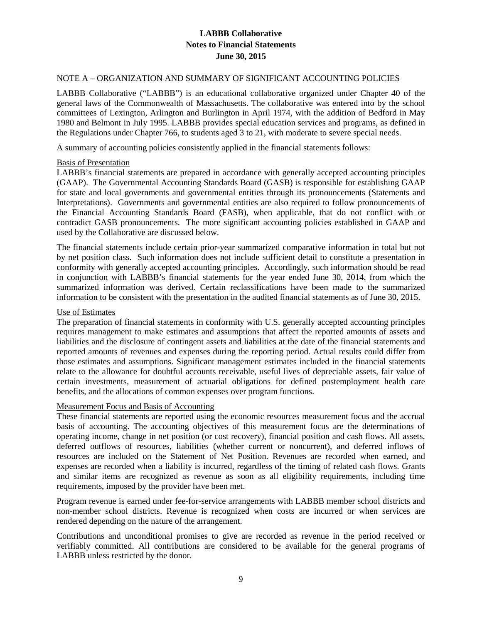#### NOTE A – ORGANIZATION AND SUMMARY OF SIGNIFICANT ACCOUNTING POLICIES

LABBB Collaborative ("LABBB") is an educational collaborative organized under Chapter 40 of the general laws of the Commonwealth of Massachusetts. The collaborative was entered into by the school committees of Lexington, Arlington and Burlington in April 1974, with the addition of Bedford in May 1980 and Belmont in July 1995. LABBB provides special education services and programs, as defined in the Regulations under Chapter 766, to students aged 3 to 21, with moderate to severe special needs.

A summary of accounting policies consistently applied in the financial statements follows:

#### Basis of Presentation

LABBB's financial statements are prepared in accordance with generally accepted accounting principles (GAAP). The Governmental Accounting Standards Board (GASB) is responsible for establishing GAAP for state and local governments and governmental entities through its pronouncements (Statements and Interpretations). Governments and governmental entities are also required to follow pronouncements of the Financial Accounting Standards Board (FASB), when applicable, that do not conflict with or contradict GASB pronouncements. The more significant accounting policies established in GAAP and used by the Collaborative are discussed below.

The financial statements include certain prior-year summarized comparative information in total but not by net position class. Such information does not include sufficient detail to constitute a presentation in conformity with generally accepted accounting principles. Accordingly, such information should be read in conjunction with LABBB's financial statements for the year ended June 30, 2014, from which the summarized information was derived. Certain reclassifications have been made to the summarized information to be consistent with the presentation in the audited financial statements as of June 30, 2015.

#### Use of Estimates

The preparation of financial statements in conformity with U.S. generally accepted accounting principles requires management to make estimates and assumptions that affect the reported amounts of assets and liabilities and the disclosure of contingent assets and liabilities at the date of the financial statements and reported amounts of revenues and expenses during the reporting period. Actual results could differ from those estimates and assumptions. Significant management estimates included in the financial statements relate to the allowance for doubtful accounts receivable, useful lives of depreciable assets, fair value of certain investments, measurement of actuarial obligations for defined postemployment health care benefits, and the allocations of common expenses over program functions.

## Measurement Focus and Basis of Accounting

These financial statements are reported using the economic resources measurement focus and the accrual basis of accounting. The accounting objectives of this measurement focus are the determinations of operating income, change in net position (or cost recovery), financial position and cash flows. All assets, deferred outflows of resources, liabilities (whether current or noncurrent), and deferred inflows of resources are included on the Statement of Net Position. Revenues are recorded when earned, and expenses are recorded when a liability is incurred, regardless of the timing of related cash flows. Grants and similar items are recognized as revenue as soon as all eligibility requirements, including time requirements, imposed by the provider have been met.

Program revenue is earned under fee-for-service arrangements with LABBB member school districts and non-member school districts. Revenue is recognized when costs are incurred or when services are rendered depending on the nature of the arrangement.

Contributions and unconditional promises to give are recorded as revenue in the period received or verifiably committed. All contributions are considered to be available for the general programs of LABBB unless restricted by the donor.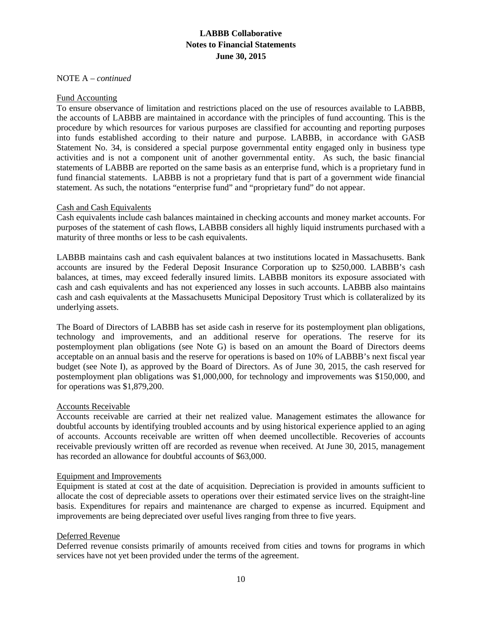#### NOTE A – *continued*

## Fund Accounting

To ensure observance of limitation and restrictions placed on the use of resources available to LABBB, the accounts of LABBB are maintained in accordance with the principles of fund accounting. This is the procedure by which resources for various purposes are classified for accounting and reporting purposes into funds established according to their nature and purpose. LABBB, in accordance with GASB Statement No. 34, is considered a special purpose governmental entity engaged only in business type activities and is not a component unit of another governmental entity. As such, the basic financial statements of LABBB are reported on the same basis as an enterprise fund, which is a proprietary fund in fund financial statements. LABBB is not a proprietary fund that is part of a government wide financial statement. As such, the notations "enterprise fund" and "proprietary fund" do not appear.

### Cash and Cash Equivalents

Cash equivalents include cash balances maintained in checking accounts and money market accounts. For purposes of the statement of cash flows, LABBB considers all highly liquid instruments purchased with a maturity of three months or less to be cash equivalents.

LABBB maintains cash and cash equivalent balances at two institutions located in Massachusetts. Bank accounts are insured by the Federal Deposit Insurance Corporation up to \$250,000. LABBB's cash balances, at times, may exceed federally insured limits. LABBB monitors its exposure associated with cash and cash equivalents and has not experienced any losses in such accounts. LABBB also maintains cash and cash equivalents at the Massachusetts Municipal Depository Trust which is collateralized by its underlying assets.

The Board of Directors of LABBB has set aside cash in reserve for its postemployment plan obligations, technology and improvements, and an additional reserve for operations. The reserve for its postemployment plan obligations (see Note G) is based on an amount the Board of Directors deems acceptable on an annual basis and the reserve for operations is based on 10% of LABBB's next fiscal year budget (see Note I), as approved by the Board of Directors. As of June 30, 2015, the cash reserved for postemployment plan obligations was \$1,000,000, for technology and improvements was \$150,000, and for operations was \$1,879,200.

## Accounts Receivable

Accounts receivable are carried at their net realized value. Management estimates the allowance for doubtful accounts by identifying troubled accounts and by using historical experience applied to an aging of accounts. Accounts receivable are written off when deemed uncollectible. Recoveries of accounts receivable previously written off are recorded as revenue when received. At June 30, 2015, management has recorded an allowance for doubtful accounts of \$63,000.

#### Equipment and Improvements

Equipment is stated at cost at the date of acquisition. Depreciation is provided in amounts sufficient to allocate the cost of depreciable assets to operations over their estimated service lives on the straight-line basis. Expenditures for repairs and maintenance are charged to expense as incurred. Equipment and improvements are being depreciated over useful lives ranging from three to five years.

#### Deferred Revenue

Deferred revenue consists primarily of amounts received from cities and towns for programs in which services have not yet been provided under the terms of the agreement.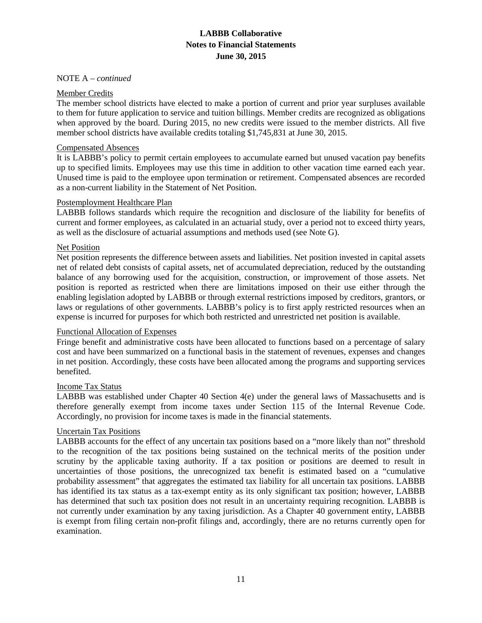#### NOTE A – *continued*

#### Member Credits

The member school districts have elected to make a portion of current and prior year surpluses available to them for future application to service and tuition billings. Member credits are recognized as obligations when approved by the board. During 2015, no new credits were issued to the member districts. All five member school districts have available credits totaling \$1,745,831 at June 30, 2015.

#### Compensated Absences

It is LABBB's policy to permit certain employees to accumulate earned but unused vacation pay benefits up to specified limits. Employees may use this time in addition to other vacation time earned each year. Unused time is paid to the employee upon termination or retirement. Compensated absences are recorded as a non-current liability in the Statement of Net Position.

### Postemployment Healthcare Plan

LABBB follows standards which require the recognition and disclosure of the liability for benefits of current and former employees, as calculated in an actuarial study, over a period not to exceed thirty years, as well as the disclosure of actuarial assumptions and methods used (see Note G).

### Net Position

Net position represents the difference between assets and liabilities. Net position invested in capital assets net of related debt consists of capital assets, net of accumulated depreciation, reduced by the outstanding balance of any borrowing used for the acquisition, construction, or improvement of those assets. Net position is reported as restricted when there are limitations imposed on their use either through the enabling legislation adopted by LABBB or through external restrictions imposed by creditors, grantors, or laws or regulations of other governments. LABBB's policy is to first apply restricted resources when an expense is incurred for purposes for which both restricted and unrestricted net position is available.

#### Functional Allocation of Expenses

Fringe benefit and administrative costs have been allocated to functions based on a percentage of salary cost and have been summarized on a functional basis in the statement of revenues, expenses and changes in net position. Accordingly, these costs have been allocated among the programs and supporting services benefited.

#### Income Tax Status

LABBB was established under Chapter 40 Section 4(e) under the general laws of Massachusetts and is therefore generally exempt from income taxes under Section 115 of the Internal Revenue Code. Accordingly, no provision for income taxes is made in the financial statements.

#### Uncertain Tax Positions

LABBB accounts for the effect of any uncertain tax positions based on a "more likely than not" threshold to the recognition of the tax positions being sustained on the technical merits of the position under scrutiny by the applicable taxing authority. If a tax position or positions are deemed to result in uncertainties of those positions, the unrecognized tax benefit is estimated based on a "cumulative probability assessment" that aggregates the estimated tax liability for all uncertain tax positions. LABBB has identified its tax status as a tax-exempt entity as its only significant tax position; however, LABBB has determined that such tax position does not result in an uncertainty requiring recognition. LABBB is not currently under examination by any taxing jurisdiction. As a Chapter 40 government entity, LABBB is exempt from filing certain non-profit filings and, accordingly, there are no returns currently open for examination.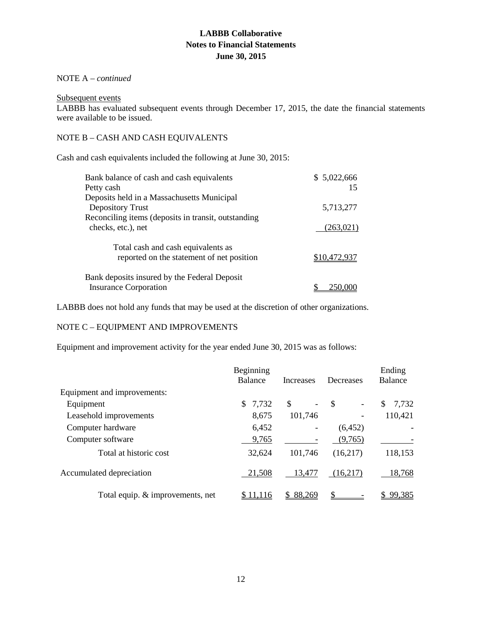## NOTE A – *continued*

#### Subsequent events

LABBB has evaluated subsequent events through December 17, 2015, the date the financial statements were available to be issued.

## NOTE B – CASH AND CASH EQUIVALENTS

Cash and cash equivalents included the following at June 30, 2015:

| Bank balance of cash and cash equivalents<br>Petty cash                         | \$5,022,666<br>15 |
|---------------------------------------------------------------------------------|-------------------|
| Deposits held in a Massachusetts Municipal<br>Depository Trust                  | 5,713,277         |
| Reconciling items (deposits in transit, outstanding<br>checks, etc.), net       | (263, 021)        |
| Total cash and cash equivalents as<br>reported on the statement of net position | \$10,472,937      |
| Bank deposits insured by the Federal Deposit<br><b>Insurance Corporation</b>    |                   |

LABBB does not hold any funds that may be used at the discretion of other organizations.

## NOTE C – EQUIPMENT AND IMPROVEMENTS

Equipment and improvement activity for the year ended June 30, 2015 was as follows:

|                                  | Beginning<br>Balance | Increases                      | Decreases                                | Ending<br>Balance |  |
|----------------------------------|----------------------|--------------------------------|------------------------------------------|-------------------|--|
| Equipment and improvements:      |                      |                                |                                          |                   |  |
| Equipment                        | 7,732<br>\$          | \$<br>$\overline{\phantom{a}}$ | $\mathbb{S}$<br>$\overline{\phantom{a}}$ | \$<br>7,732       |  |
| Leasehold improvements           | 8,675                | 101,746                        |                                          | 110,421           |  |
| Computer hardware                | 6,452                |                                | (6,452)                                  |                   |  |
| Computer software                | 9,765                |                                | (9,765)                                  |                   |  |
| Total at historic cost           | 32,624               | 101,746                        | (16,217)                                 | 118,153           |  |
| Accumulated depreciation         | 21,508               | 13,477                         | (16,217)                                 | 18,768            |  |
| Total equip. & improvements, net | 116                  | 88,269                         |                                          | 99,385            |  |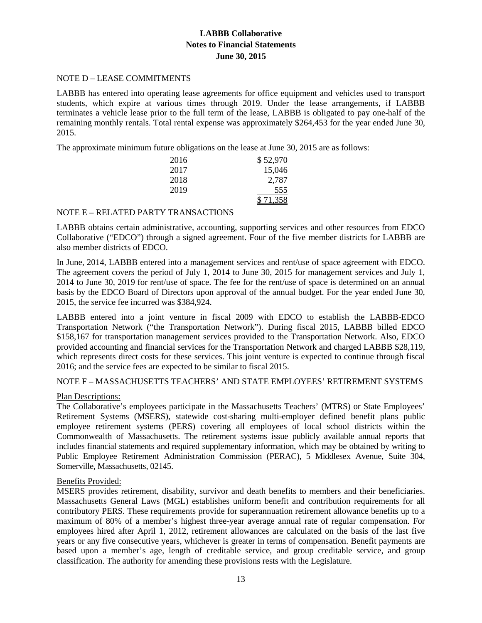#### NOTE D – LEASE COMMITMENTS

LABBB has entered into operating lease agreements for office equipment and vehicles used to transport students, which expire at various times through 2019. Under the lease arrangements, if LABBB terminates a vehicle lease prior to the full term of the lease, LABBB is obligated to pay one-half of the remaining monthly rentals. Total rental expense was approximately \$264,453 for the year ended June 30, 2015.

The approximate minimum future obligations on the lease at June 30, 2015 are as follows:

| 2016 | \$52,970 |
|------|----------|
| 2017 | 15,046   |
| 2018 | 2,787    |
| 2019 | 555      |
|      | \$71,358 |

#### NOTE E – RELATED PARTY TRANSACTIONS

LABBB obtains certain administrative, accounting, supporting services and other resources from EDCO Collaborative ("EDCO") through a signed agreement. Four of the five member districts for LABBB are also member districts of EDCO.

In June, 2014, LABBB entered into a management services and rent/use of space agreement with EDCO. The agreement covers the period of July 1, 2014 to June 30, 2015 for management services and July 1, 2014 to June 30, 2019 for rent/use of space. The fee for the rent/use of space is determined on an annual basis by the EDCO Board of Directors upon approval of the annual budget. For the year ended June 30, 2015, the service fee incurred was \$384,924.

LABBB entered into a joint venture in fiscal 2009 with EDCO to establish the LABBB-EDCO Transportation Network ("the Transportation Network"). During fiscal 2015, LABBB billed EDCO \$158,167 for transportation management services provided to the Transportation Network. Also, EDCO provided accounting and financial services for the Transportation Network and charged LABBB \$28,119, which represents direct costs for these services. This joint venture is expected to continue through fiscal 2016; and the service fees are expected to be similar to fiscal 2015.

## NOTE F – MASSACHUSETTS TEACHERS' AND STATE EMPLOYEES' RETIREMENT SYSTEMS

#### Plan Descriptions:

The Collaborative's employees participate in the Massachusetts Teachers' (MTRS) or State Employees' Retirement Systems (MSERS), statewide cost-sharing multi-employer defined benefit plans public employee retirement systems (PERS) covering all employees of local school districts within the Commonwealth of Massachusetts. The retirement systems issue publicly available annual reports that includes financial statements and required supplementary information, which may be obtained by writing to Public Employee Retirement Administration Commission (PERAC), 5 Middlesex Avenue, Suite 304, Somerville, Massachusetts, 02145.

#### Benefits Provided:

MSERS provides retirement, disability, survivor and death benefits to members and their beneficiaries. Massachusetts General Laws (MGL) establishes uniform benefit and contribution requirements for all contributory PERS. These requirements provide for superannuation retirement allowance benefits up to a maximum of 80% of a member's highest three-year average annual rate of regular compensation. For employees hired after April 1, 2012, retirement allowances are calculated on the basis of the last five years or any five consecutive years, whichever is greater in terms of compensation. Benefit payments are based upon a member's age, length of creditable service, and group creditable service, and group classification. The authority for amending these provisions rests with the Legislature.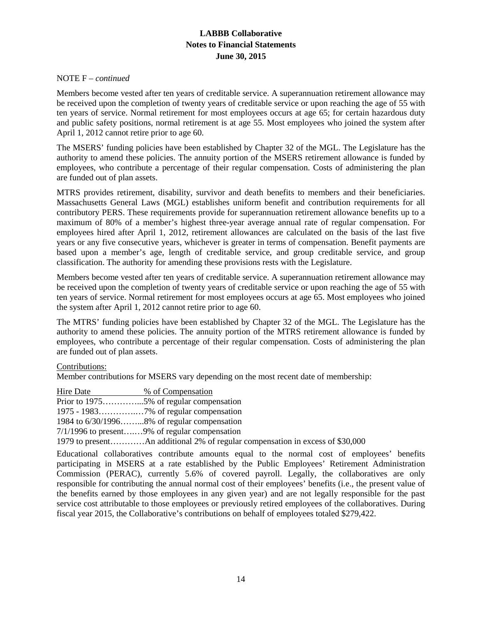### NOTE F – *continued*

Members become vested after ten years of creditable service. A superannuation retirement allowance may be received upon the completion of twenty years of creditable service or upon reaching the age of 55 with ten years of service. Normal retirement for most employees occurs at age 65; for certain hazardous duty and public safety positions, normal retirement is at age 55. Most employees who joined the system after April 1, 2012 cannot retire prior to age 60.

The MSERS' funding policies have been established by Chapter 32 of the MGL. The Legislature has the authority to amend these policies. The annuity portion of the MSERS retirement allowance is funded by employees, who contribute a percentage of their regular compensation. Costs of administering the plan are funded out of plan assets.

MTRS provides retirement, disability, survivor and death benefits to members and their beneficiaries. Massachusetts General Laws (MGL) establishes uniform benefit and contribution requirements for all contributory PERS. These requirements provide for superannuation retirement allowance benefits up to a maximum of 80% of a member's highest three-year average annual rate of regular compensation. For employees hired after April 1, 2012, retirement allowances are calculated on the basis of the last five years or any five consecutive years, whichever is greater in terms of compensation. Benefit payments are based upon a member's age, length of creditable service, and group creditable service, and group classification. The authority for amending these provisions rests with the Legislature.

Members become vested after ten years of creditable service. A superannuation retirement allowance may be received upon the completion of twenty years of creditable service or upon reaching the age of 55 with ten years of service. Normal retirement for most employees occurs at age 65. Most employees who joined the system after April 1, 2012 cannot retire prior to age 60.

The MTRS' funding policies have been established by Chapter 32 of the MGL. The Legislature has the authority to amend these policies. The annuity portion of the MTRS retirement allowance is funded by employees, who contribute a percentage of their regular compensation. Costs of administering the plan are funded out of plan assets.

#### Contributions:

Member contributions for MSERS vary depending on the most recent date of membership:

| Hire Date | % of Compensation                             |
|-----------|-----------------------------------------------|
|           |                                               |
|           |                                               |
|           | 1984 to 6/30/19968% of regular compensation   |
|           | 7/1/1996 to present9% of regular compensation |

1979 to present…………An additional 2% of regular compensation in excess of \$30,000

Educational collaboratives contribute amounts equal to the normal cost of employees' benefits participating in MSERS at a rate established by the Public Employees' Retirement Administration Commission (PERAC), currently 5.6% of covered payroll. Legally, the collaboratives are only responsible for contributing the annual normal cost of their employees' benefits (i.e., the present value of the benefits earned by those employees in any given year) and are not legally responsible for the past service cost attributable to those employees or previously retired employees of the collaboratives. During fiscal year 2015, the Collaborative's contributions on behalf of employees totaled \$279,422.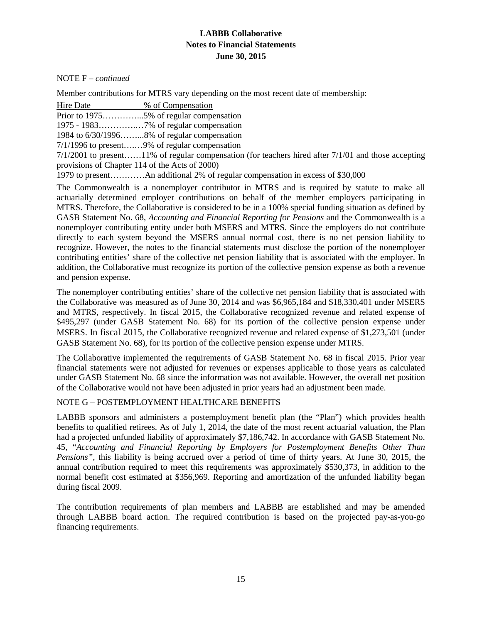NOTE F – *continued* 

Member contributions for MTRS vary depending on the most recent date of membership:

Hire Date % of Compensation Prior to 1975…………...5% of regular compensation 1975 - 1983………….…7% of regular compensation 1984 to 6/30/1996……...8% of regular compensation 7/1/1996 to present….…9% of regular compensation 7/1/2001 to present……11% of regular compensation (for teachers hired after 7/1/01 and those accepting provisions of Chapter 114 of the Acts of 2000)

1979 to present…………An additional 2% of regular compensation in excess of \$30,000

The Commonwealth is a nonemployer contributor in MTRS and is required by statute to make all actuarially determined employer contributions on behalf of the member employers participating in MTRS. Therefore, the Collaborative is considered to be in a 100% special funding situation as defined by GASB Statement No. 68, *Accounting and Financial Reporting for Pensions* and the Commonwealth is a nonemployer contributing entity under both MSERS and MTRS. Since the employers do not contribute directly to each system beyond the MSERS annual normal cost, there is no net pension liability to recognize. However, the notes to the financial statements must disclose the portion of the nonemployer contributing entities' share of the collective net pension liability that is associated with the employer. In addition, the Collaborative must recognize its portion of the collective pension expense as both a revenue and pension expense.

The nonemployer contributing entities' share of the collective net pension liability that is associated with the Collaborative was measured as of June 30, 2014 and was \$6,965,184 and \$18,330,401 under MSERS and MTRS, respectively. In fiscal 2015, the Collaborative recognized revenue and related expense of \$495,297 (under GASB Statement No. 68) for its portion of the collective pension expense under MSERS. In fiscal 2015, the Collaborative recognized revenue and related expense of \$1,273,501 (under GASB Statement No. 68), for its portion of the collective pension expense under MTRS.

The Collaborative implemented the requirements of GASB Statement No. 68 in fiscal 2015. Prior year financial statements were not adjusted for revenues or expenses applicable to those years as calculated under GASB Statement No. 68 since the information was not available. However, the overall net position of the Collaborative would not have been adjusted in prior years had an adjustment been made.

## NOTE G – POSTEMPLOYMENT HEALTHCARE BENEFITS

LABBB sponsors and administers a postemployment benefit plan (the "Plan") which provides health benefits to qualified retirees. As of July 1, 2014, the date of the most recent actuarial valuation, the Plan had a projected unfunded liability of approximately \$7,186,742. In accordance with GASB Statement No. 45, "*Accounting and Financial Reporting by Employers for Postemployment Benefits Other Than Pensions"*, this liability is being accrued over a period of time of thirty years. At June 30, 2015, the annual contribution required to meet this requirements was approximately \$530,373, in addition to the normal benefit cost estimated at \$356,969. Reporting and amortization of the unfunded liability began during fiscal 2009.

The contribution requirements of plan members and LABBB are established and may be amended through LABBB board action. The required contribution is based on the projected pay-as-you-go financing requirements.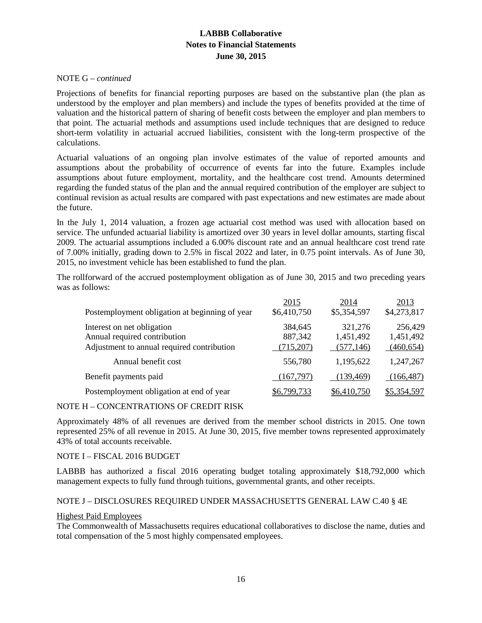#### NOTE G – *continued*

Projections of benefits for financial reporting purposes are based on the substantive plan (the plan as understood by the employer and plan members) and include the types of benefits provided at the time of valuation and the historical pattern of sharing of benefit costs between the employer and plan members to that point. The actuarial methods and assumptions used include techniques that are designed to reduce short-term volatility in actuarial accrued liabilities, consistent with the long-term prospective of the calculations.

Actuarial valuations of an ongoing plan involve estimates of the value of reported amounts and assumptions about the probability of occurrence of events far into the future. Examples include assumptions about future employment, mortality, and the healthcare cost trend. Amounts determined regarding the funded status of the plan and the annual required contribution of the employer are subject to continual revision as actual results are compared with past expectations and new estimates are made about the future.

In the July 1, 2014 valuation, a frozen age actuarial cost method was used with allocation based on service. The unfunded actuarial liability is amortized over 30 years in level dollar amounts, starting fiscal 2009. The actuarial assumptions included a 6.00% discount rate and an annual healthcare cost trend rate of 7.00% initially, grading down to 2.5% in fiscal 2022 and later, in 0.75 point intervals. As of June 30, 2015, no investment vehicle has been established to fund the plan.

The rollforward of the accrued postemployment obligation as of June 30, 2015 and two preceding years was as follows:

| Postemployment obligation at beginning of year                                                           | 2015<br>\$6,410,750             | 2014<br>\$5,354,597                | 2013<br>\$4,273,817                |
|----------------------------------------------------------------------------------------------------------|---------------------------------|------------------------------------|------------------------------------|
| Interest on net obligation<br>Annual required contribution<br>Adjustment to annual required contribution | 384,645<br>887,342<br>(715,207) | 321,276<br>1,451,492<br>(577, 146) | 256,429<br>1,451,492<br>(460, 654) |
| Annual benefit cost                                                                                      | 556,780                         | 1,195,622                          | 1,247,267                          |
| Benefit payments paid                                                                                    | (167,797)                       | (139, 469)                         | (166, 487)                         |
| Postemployment obligation at end of year                                                                 | \$6,799,733                     | \$6,410,750                        | \$5,354,597                        |
|                                                                                                          |                                 |                                    |                                    |

### NOTE H – CONCENTRATIONS OF CREDIT RISK

Approximately 48% of all revenues are derived from the member school districts in 2015. One town represented 25% of all revenue in 2015. At June 30, 2015, five member towns represented approximately 43% of total accounts receivable.

### NOTE I – FISCAL 2016 BUDGET

LABBB has authorized a fiscal 2016 operating budget totaling approximately \$18,792,000 which management expects to fully fund through tuitions, governmental grants, and other receipts.

## NOTE J – DISCLOSURES REQUIRED UNDER MASSACHUSETTS GENERAL LAW C.40 § 4E

#### Highest Paid Employees

The Commonwealth of Massachusetts requires educational collaboratives to disclose the name, duties and total compensation of the 5 most highly compensated employees.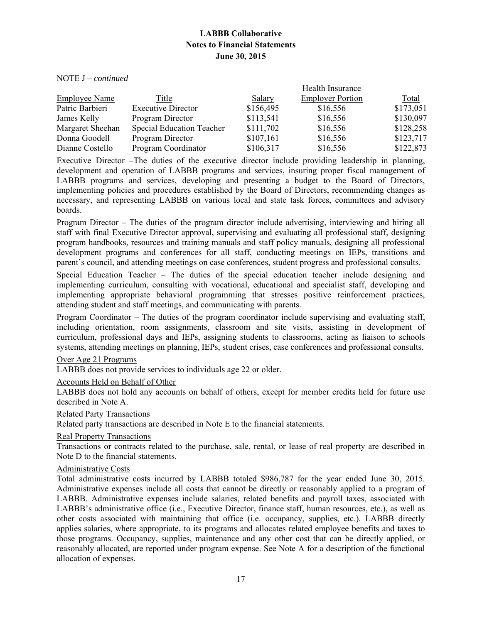NOTE J – *continued* 

|                      |                                  |           | Health Insurance        |           |  |  |
|----------------------|----------------------------------|-----------|-------------------------|-----------|--|--|
| <b>Employee Name</b> | Title                            | Salary    | <b>Employer Portion</b> | Total     |  |  |
| Patric Barbieri      | <b>Executive Director</b>        | \$156,495 | \$16,556                | \$173,051 |  |  |
| James Kelly          | Program Director                 | \$113,541 | \$16,556                | \$130,097 |  |  |
| Margaret Sheehan     | <b>Special Education Teacher</b> | \$111,702 | \$16,556                | \$128,258 |  |  |
| Donna Goodell        | Program Director                 | \$107,161 | \$16,556                | \$123,717 |  |  |
| Dianne Costello      | Program Coordinator              | \$106,317 | \$16,556                | \$122,873 |  |  |

Executive Director –The duties of the executive director include providing leadership in planning, development and operation of LABBB programs and services, insuring proper fiscal management of LABBB programs and services, developing and presenting a budget to the Board of Directors, implementing policies and procedures established by the Board of Directors, recommending changes as necessary, and representing LABBB on various local and state task forces, committees and advisory boards.

Program Director – The duties of the program director include advertising, interviewing and hiring all staff with final Executive Director approval, supervising and evaluating all professional staff, designing program handbooks, resources and training manuals and staff policy manuals, designing all professional development programs and conferences for all staff, conducting meetings on IEPs, transitions and parent's council, and attending meetings on case conferences, student progress and professional consults.

Special Education Teacher – The duties of the special education teacher include designing and implementing curriculum, consulting with vocational, educational and specialist staff, developing and implementing appropriate behavioral programming that stresses positive reinforcement practices, attending student and staff meetings, and communicating with parents.

Program Coordinator – The duties of the program coordinator include supervising and evaluating staff, including orientation, room assignments, classroom and site visits, assisting in development of curriculum, professional days and IEPs, assigning students to classrooms, acting as liaison to schools systems, attending meetings on planning, IEPs, student crises, case conferences and professional consults.

## Over Age 21 Programs

LABBB does not provide services to individuals age 22 or older.

Accounts Held on Behalf of Other

LABBB does not hold any accounts on behalf of others, except for member credits held for future use described in Note A.

Related Party Transactions

Related party transactions are described in Note E to the financial statements.

Real Property Transactions

Transactions or contracts related to the purchase, sale, rental, or lease of real property are described in Note D to the financial statements.

Administrative Costs

Total administrative costs incurred by LABBB totaled \$986,787 for the year ended June 30, 2015. Administrative expenses include all costs that cannot be directly or reasonably applied to a program of LABBB. Administrative expenses include salaries, related benefits and payroll taxes, associated with LABBB's administrative office (i.e., Executive Director, finance staff, human resources, etc.), as well as other costs associated with maintaining that office (i.e. occupancy, supplies, etc.). LABBB directly applies salaries, where appropriate, to its programs and allocates related employee benefits and taxes to those programs. Occupancy, supplies, maintenance and any other cost that can be directly applied, or reasonably allocated, are reported under program expense. See Note A for a description of the functional allocation of expenses.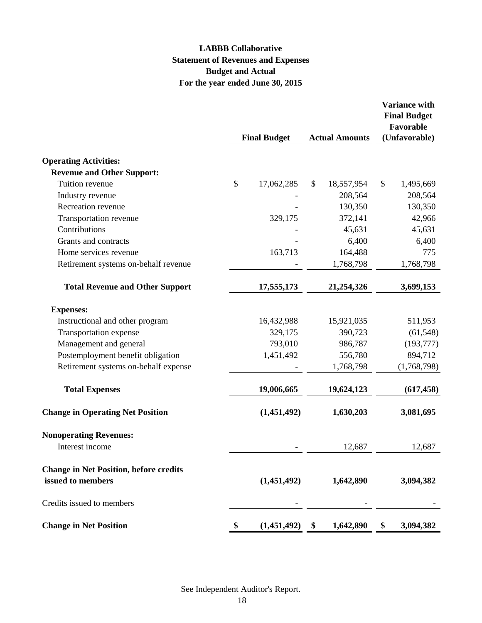# **LABBB Collaborative Statement of Revenues and Expenses Budget and Actual For the year ended June 30, 2015**

|                                               | <b>Final Budget</b> |             | <b>Actual Amounts</b> |    | <b>Variance with</b><br><b>Final Budget</b><br>Favorable<br>(Unfavorable) |  |
|-----------------------------------------------|---------------------|-------------|-----------------------|----|---------------------------------------------------------------------------|--|
|                                               |                     |             |                       |    |                                                                           |  |
| <b>Operating Activities:</b>                  |                     |             |                       |    |                                                                           |  |
| <b>Revenue and Other Support:</b>             |                     |             |                       |    |                                                                           |  |
| Tuition revenue                               | \$                  | 17,062,285  | \$<br>18,557,954      | \$ | 1,495,669                                                                 |  |
| Industry revenue                              |                     |             | 208,564               |    | 208,564                                                                   |  |
| Recreation revenue                            |                     |             | 130,350               |    | 130,350                                                                   |  |
| Transportation revenue                        |                     | 329,175     | 372,141               |    | 42,966                                                                    |  |
| Contributions                                 |                     |             | 45,631                |    | 45,631                                                                    |  |
| Grants and contracts                          |                     |             | 6,400                 |    | 6,400                                                                     |  |
| Home services revenue                         |                     | 163,713     | 164,488               |    | 775                                                                       |  |
| Retirement systems on-behalf revenue          |                     |             | 1,768,798             |    | 1,768,798                                                                 |  |
| <b>Total Revenue and Other Support</b>        |                     | 17,555,173  | 21,254,326            |    | 3,699,153                                                                 |  |
| <b>Expenses:</b>                              |                     |             |                       |    |                                                                           |  |
| Instructional and other program               |                     | 16,432,988  | 15,921,035            |    | 511,953                                                                   |  |
| Transportation expense                        |                     | 329,175     | 390,723               |    | (61, 548)                                                                 |  |
| Management and general                        |                     | 793,010     | 986,787               |    | (193, 777)                                                                |  |
| Postemployment benefit obligation             |                     | 1,451,492   | 556,780               |    | 894,712                                                                   |  |
| Retirement systems on-behalf expense          |                     |             | 1,768,798             |    | (1,768,798)                                                               |  |
| <b>Total Expenses</b>                         |                     | 19,006,665  | 19,624,123            |    | (617, 458)                                                                |  |
| <b>Change in Operating Net Position</b>       |                     | (1,451,492) | 1,630,203             |    | 3,081,695                                                                 |  |
| <b>Nonoperating Revenues:</b>                 |                     |             |                       |    |                                                                           |  |
| Interest income                               |                     |             | 12,687                |    | 12,687                                                                    |  |
| <b>Change in Net Position, before credits</b> |                     |             |                       |    |                                                                           |  |
| issued to members                             |                     | (1,451,492) | 1,642,890             |    | 3,094,382                                                                 |  |
| Credits issued to members                     |                     |             |                       |    |                                                                           |  |
| <b>Change in Net Position</b>                 | \$                  | (1,451,492) | \$<br>1,642,890       | \$ | 3,094,382                                                                 |  |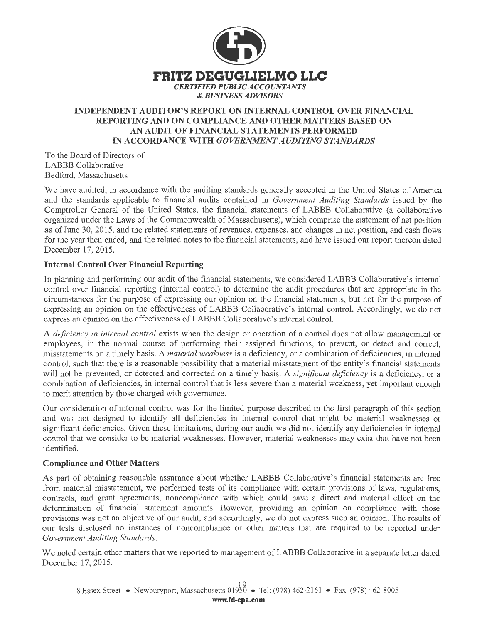

## **INDEPENDENT AUDITOR'S REPORT ON INTERNAL CONTROL OVER FINANCIAL REPORTING AND ON COMPLIANCE AND OTHER MATTERS BASED ON AN AUDIT OF FINANCIAL STATEMENTS PERFORMED IN ACCORDANCE WITH** *GOVERNMENT AUDITING STANDARDS*

To the Board of Directors of LABBB Collaborative Bedford, Massachusetts

We have audited, in accordance with the auditing standards generally accepted in the United States of America and the standards applicable to financial audits contained in *Government Auditing Standards* issued by the Comptroller General of the United States, the financial statements of LABBB Collaborative (a collaborative organized under the Laws of the Commonwealth of Massachusetts), which comprise the statement of net position as of June 30, 2015, and the related statements of revenues, expenses, and changes in net position, and cash flows for the year then ended, and the related notes to the financial statements, and have issued our report thereon dated December 17, 2015.

## **Internal Control Over Financial Reporting**

In planning and performing our audit of the financial statements, we considered LABBB Collaborative's internal control over financial reporting (internal control) to determine the audit procedures that are appropriate in the circumstances for the purpose of expressing our opinion on the financial statements, but not for the purpose of expressing an opinion on the effectiveness of LABBB Collaborative's internal control. Accordingly, we do not express an opinion on the effectiveness ofLABBB Collaborative's internal control.

A *deficiency in internal control* exists when the design or operation of a control does not allow management or employees, in the normal course of performing their assigned functions, to prevent, or detect and correct, misstatements on a timely basis. A *material weakness* is a deficiency, or a combination of deficiencies, in internal control, such that there is a reasonable possibility that a material misstatement of the entity's financial statements will not be prevented, or detected and corrected on a timely basis. A *significant deficiency* is a deficiency, or a combination of deficiencies, in internal control that is less severe than a material weakness, yet important enough to merit attention by those charged with governance.

Our consideration of internal control was for the limited purpose described in the first paragraph of this section and was not designed to identify all deficiencies in internal control that might be material weaknesses or significant deficiencies. Given these limitations, during our audit we did not identify any deficiencies in internal control that we consider to be material weaknesses. However, material weaknesses may exist that have not been identified.

## **Compliance and Other Matters**

As part of obtaining reasonable assurance about whether LABBB Collaborative's financial statements are free from material misstatement, we performed tests of its compliance with certain provisions of laws, regulations, contracts, and grant agreements, noncompliance with which could have a direct and material effect on the determination of financial statement amounts. However, providing an opinion on compliance with those provisions was not an objective of our audit, and accordingly, we do not express such an opinion. The results of our tests disclosed no instances of noncompliance or other matters that are required to be reported under *Government Auditing Standards.* 

We noted certain other matters that we reported to management of LABBB Collaborative in a separate letter dated December 17, 2015.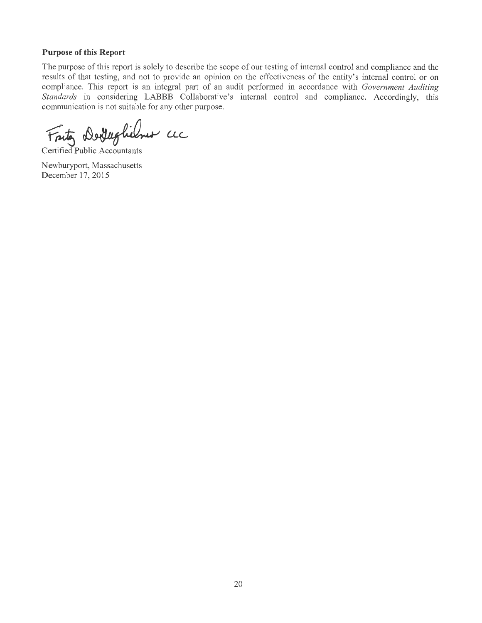## **Purpose of this Report**

The purpose of this report is solely to describe the scope of our testing of internal control and compliance and the results of that testing, and not to provide an opinion on the effectiveness of the entity's internal control or on compliance. This report is an integral part of an audit performed in accordance with *Government Auditing Standards* in considering LABBE Collaborative's internal control and compliance. Accordingly, this communication is not suitable for any other purpose.

Detteghelme ac

Certified Public Accountants

Newburyport, Massachusetts December 17, 2015